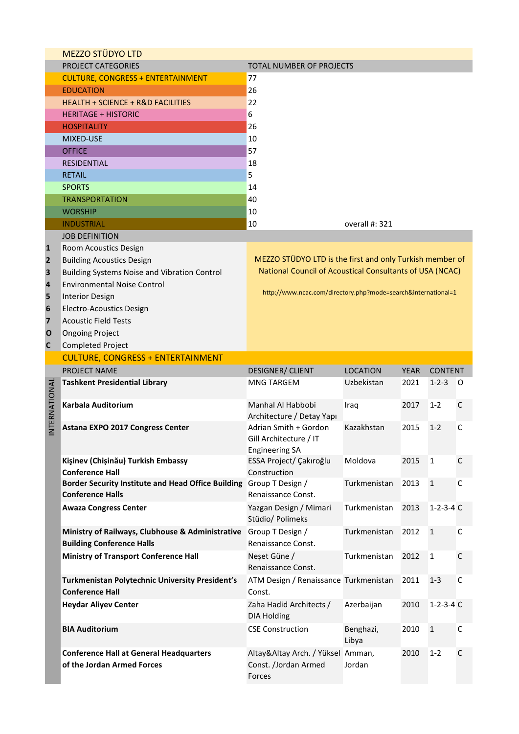|              | <b>MEZZO STÜDYO LTD</b>                                                                        |                                                                                                                      |                 |             |                   |             |
|--------------|------------------------------------------------------------------------------------------------|----------------------------------------------------------------------------------------------------------------------|-----------------|-------------|-------------------|-------------|
|              | <b>PROJECT CATEGORIES</b>                                                                      | TOTAL NUMBER OF PROJECTS                                                                                             |                 |             |                   |             |
|              | <b>CULTURE, CONGRESS + ENTERTAINMENT</b>                                                       | 77                                                                                                                   |                 |             |                   |             |
|              | <b>EDUCATION</b>                                                                               | 26                                                                                                                   |                 |             |                   |             |
|              | <b>HEALTH + SCIENCE + R&amp;D FACILITIES</b>                                                   | 22                                                                                                                   |                 |             |                   |             |
|              | <b>HERITAGE + HISTORIC</b>                                                                     | 6                                                                                                                    |                 |             |                   |             |
|              | <b>HOSPITALITY</b>                                                                             | 26                                                                                                                   |                 |             |                   |             |
|              | <b>MIXED-USE</b>                                                                               | 10                                                                                                                   |                 |             |                   |             |
|              | <b>OFFICE</b>                                                                                  | 57                                                                                                                   |                 |             |                   |             |
|              | <b>RESIDENTIAL</b>                                                                             | 18                                                                                                                   |                 |             |                   |             |
|              | <b>RETAIL</b>                                                                                  | 5                                                                                                                    |                 |             |                   |             |
|              | <b>SPORTS</b>                                                                                  | 14                                                                                                                   |                 |             |                   |             |
|              | <b>TRANSPORTATION</b>                                                                          | 40                                                                                                                   |                 |             |                   |             |
|              |                                                                                                |                                                                                                                      |                 |             |                   |             |
|              | <b>WORSHIP</b>                                                                                 | 10                                                                                                                   |                 |             |                   |             |
|              | <b>INDUSTRIAL</b>                                                                              | 10                                                                                                                   | overall #: 321  |             |                   |             |
|              | <b>JOB DEFINITION</b>                                                                          |                                                                                                                      |                 |             |                   |             |
| 1            | Room Acoustics Design                                                                          |                                                                                                                      |                 |             |                   |             |
| 2            | <b>Building Acoustics Design</b>                                                               | MEZZO STÜDYO LTD is the first and only Turkish member of<br>National Council of Acoustical Consultants of USA (NCAC) |                 |             |                   |             |
| 3            | Building Systems Noise and Vibration Control                                                   |                                                                                                                      |                 |             |                   |             |
| 4            | <b>Environmental Noise Control</b>                                                             | http://www.ncac.com/directory.php?mode=search&international=1                                                        |                 |             |                   |             |
| 5            | <b>Interior Design</b>                                                                         |                                                                                                                      |                 |             |                   |             |
| 6            | <b>Electro-Acoustics Design</b>                                                                |                                                                                                                      |                 |             |                   |             |
| 7            | <b>Acoustic Field Tests</b>                                                                    |                                                                                                                      |                 |             |                   |             |
| O            | <b>Ongoing Project</b>                                                                         |                                                                                                                      |                 |             |                   |             |
| C            | Completed Project                                                                              |                                                                                                                      |                 |             |                   |             |
|              | <b>CULTURE, CONGRESS + ENTERTAINMENT</b>                                                       |                                                                                                                      |                 |             |                   |             |
|              | <b>PROJECT NAME</b>                                                                            | <b>DESIGNER/ CLIENT</b>                                                                                              | <b>LOCATION</b> | <b>YEAR</b> | <b>CONTENT</b>    |             |
|              |                                                                                                |                                                                                                                      |                 |             |                   |             |
|              | <b>Tashkent Presidential Library</b>                                                           | <b>MNG TARGEM</b>                                                                                                    | Uzbekistan      | 2021        | $1 - 2 - 3$       | 0           |
|              |                                                                                                |                                                                                                                      |                 |             |                   |             |
|              | Karbala Auditorium                                                                             | Manhal Al Habbobi                                                                                                    | Iraq            | 2017        | $1 - 2$           | С           |
|              |                                                                                                | Architecture / Detay Yapı                                                                                            |                 |             |                   |             |
| NTERNATIONAL | Astana EXPO 2017 Congress Center                                                               | Adrian Smith + Gordon                                                                                                | Kazakhstan      | 2015        | $1 - 2$           | C           |
|              |                                                                                                | Gill Architecture / IT                                                                                               |                 |             |                   |             |
|              |                                                                                                | <b>Engineering SA</b>                                                                                                |                 |             |                   |             |
|              | Kişinev (Chişinău) Turkish Embassy                                                             | ESSA Project/ Çakıroğlu                                                                                              | Moldova         | 2015        | $\mathbf{1}$      | $\mathsf C$ |
|              | <b>Conference Hall</b>                                                                         | Construction                                                                                                         |                 |             |                   |             |
|              | Border Security Institute and Head Office Building Group T Design /<br><b>Conference Halls</b> | Renaissance Const.                                                                                                   | Turkmenistan    | 2013        | $\mathbf{1}$      | C           |
|              |                                                                                                |                                                                                                                      |                 |             |                   |             |
|              | <b>Awaza Congress Center</b>                                                                   | Yazgan Design / Mimari                                                                                               | Turkmenistan    | 2013        | $1 - 2 - 3 - 4$ C |             |
|              |                                                                                                | Stüdio/ Polimeks                                                                                                     |                 |             |                   |             |
|              | Ministry of Railways, Clubhouse & Administrative                                               | Group T Design /                                                                                                     | Turkmenistan    | 2012        | $\mathbf{1}$      | C           |
|              | <b>Building Conference Halls</b>                                                               | Renaissance Const.                                                                                                   |                 |             |                   |             |
|              | <b>Ministry of Transport Conference Hall</b>                                                   | Neşet Güne /<br>Renaissance Const.                                                                                   | Turkmenistan    | 2012        | $\mathbf{1}$      | $\mathsf C$ |
|              |                                                                                                |                                                                                                                      |                 |             |                   |             |
|              | Turkmenistan Polytechnic University President's                                                | ATM Design / Renaissance Turkmenistan                                                                                |                 | 2011        | $1 - 3$           | C           |
|              | <b>Conference Hall</b>                                                                         | Const.                                                                                                               |                 |             |                   |             |
|              | <b>Heydar Aliyev Center</b>                                                                    | Zaha Hadid Architects /                                                                                              | Azerbaijan      | 2010        | $1 - 2 - 3 - 4$ C |             |
|              |                                                                                                | <b>DIA Holding</b>                                                                                                   |                 |             |                   |             |
|              | <b>BIA Auditorium</b>                                                                          | <b>CSE Construction</b>                                                                                              | Benghazi,       | 2010        | $\mathbf{1}$      | C           |
|              |                                                                                                |                                                                                                                      | Libya           |             |                   |             |
|              | <b>Conference Hall at General Headquarters</b><br>of the Jordan Armed Forces                   | Altay&Altay Arch. / Yüksel Amman,<br>Const. /Jordan Armed                                                            | Jordan          | 2010        | $1 - 2$           | C           |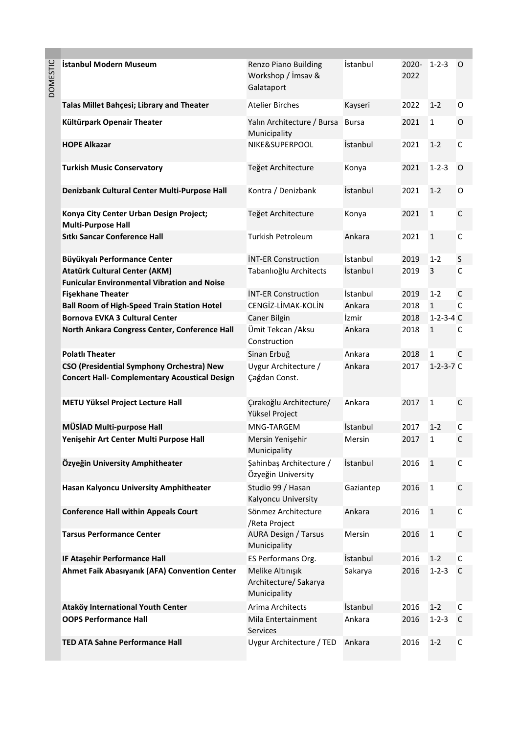| 5<br>U |  |
|--------|--|
|        |  |
| ب      |  |
| MUC    |  |
|        |  |
|        |  |
|        |  |

| DOMESTIC | İstanbul Modern Museum                                                                     | Renzo Piano Building<br>Workshop / İmsav &<br>Galataport  | İstanbul        | 2020-<br>2022 | $1 - 2 - 3$       | O            |
|----------|--------------------------------------------------------------------------------------------|-----------------------------------------------------------|-----------------|---------------|-------------------|--------------|
|          | Talas Millet Bahçesi; Library and Theater                                                  | <b>Atelier Birches</b>                                    | Kayseri         | 2022          | $1 - 2$           | 0            |
|          | Kültürpark Openair Theater                                                                 | Yalın Architecture / Bursa<br>Municipality                | <b>Bursa</b>    | 2021          | $\mathbf{1}$      | O            |
|          | <b>HOPE Alkazar</b>                                                                        | NIKE&SUPERPOOL                                            | İstanbul        | 2021          | $1 - 2$           | $\mathsf C$  |
|          | <b>Turkish Music Conservatory</b>                                                          | Teğet Architecture                                        | Konya           | 2021          | $1 - 2 - 3$       | 0            |
|          | Denizbank Cultural Center Multi-Purpose Hall                                               | Kontra / Denizbank                                        | <i>istanbul</i> | 2021          | $1 - 2$           | O            |
|          | Konya City Center Urban Design Project;<br><b>Multi-Purpose Hall</b>                       | Teğet Architecture                                        | Konya           | 2021          | $\mathbf{1}$      | $\mathsf C$  |
|          | <b>Sitki Sancar Conference Hall</b>                                                        | <b>Turkish Petroleum</b>                                  | Ankara          | 2021          | $\mathbf{1}$      | $\mathsf C$  |
|          | Büyükyalı Performance Center                                                               | <b>İNT-ER Construction</b>                                | İstanbul        | 2019          | $1 - 2$           | S            |
|          | <b>Atatürk Cultural Center (AKM)</b><br><b>Funicular Environmental Vibration and Noise</b> | Tabanlıoğlu Architects                                    | İstanbul        | 2019          | 3                 | $\mathsf{C}$ |
|          | <b>Fişekhane Theater</b>                                                                   | <b>İNT-ER Construction</b>                                | İstanbul        | 2019          | $1 - 2$           | C            |
|          | <b>Ball Room of High-Speed Train Station Hotel</b>                                         | CENGİZ-LİMAK-KOLİN                                        | Ankara          | 2018          | $\mathbf{1}$      | $\mathsf{C}$ |
|          | <b>Bornova EVKA 3 Cultural Center</b>                                                      | Caner Bilgin                                              | İzmir           | 2018          | $1 - 2 - 3 - 4$ C |              |
|          | North Ankara Congress Center, Conference Hall                                              | Ümit Tekcan / Aksu<br>Construction                        | Ankara          | 2018          | $\mathbf{1}$      | C            |
|          | <b>Polatlı Theater</b>                                                                     | Sinan Erbuğ                                               | Ankara          | 2018          | $\mathbf{1}$      | $\mathsf{C}$ |
|          | CSO (Presidential Symphony Orchestra) New                                                  | Uygur Architecture /                                      | Ankara          | 2017          | $1 - 2 - 3 - 7$ C |              |
|          | <b>Concert Hall- Complementary Acoustical Design</b>                                       | Çağdan Const.                                             |                 |               |                   |              |
|          | METU Yüksel Project Lecture Hall                                                           | Çırakoğlu Architecture/<br>Yüksel Project                 | Ankara          | 2017          | $\mathbf{1}$      | $\mathsf C$  |
|          | MÜSİAD Multi-purpose Hall                                                                  | MNG-TARGEM                                                | İstanbul        | 2017          | $1 - 2$           | C            |
|          | Yenişehir Art Center Multi Purpose Hall                                                    | Mersin Yenişehir<br>Municipality                          | Mersin          | 2017          | $\mathbf{1}$      | C            |
|          | Özyeğin University Amphitheater                                                            | Şahinbaş Architecture /<br>Özyeğin University             | İstanbul        | 2016          | $\mathbf{1}$      | C            |
|          | Hasan Kalyoncu University Amphitheater                                                     | Studio 99 / Hasan<br>Kalyoncu University                  | Gaziantep       | 2016          | 1                 | C            |
|          | <b>Conference Hall within Appeals Court</b>                                                | Sönmez Architecture<br>/Reta Project                      | Ankara          | 2016          | $\mathbf{1}$      | C            |
|          | <b>Tarsus Performance Center</b>                                                           | <b>AURA Design / Tarsus</b><br>Municipality               | Mersin          | 2016          | 1                 | $\mathsf C$  |
|          | IF Ataşehir Performance Hall                                                               | ES Performans Org.                                        | İstanbul        | 2016          | $1 - 2$           | $\mathsf C$  |
|          | Ahmet Faik Abasıyanık (AFA) Convention Center                                              | Melike Altınışık<br>Architecture/ Sakarya<br>Municipality | Sakarya         | 2016          | $1 - 2 - 3$       | C            |
|          | Ataköy International Youth Center                                                          | Arima Architects                                          | İstanbul        | 2016          | $1 - 2$           | C            |
|          | <b>OOPS Performance Hall</b>                                                               | Mila Entertainment<br>Services                            | Ankara          | 2016          | $1 - 2 - 3$       | C            |
|          | <b>TED ATA Sahne Performance Hall</b>                                                      | Uygur Architecture / TED                                  | Ankara          | 2016          | $1 - 2$           | $\mathsf C$  |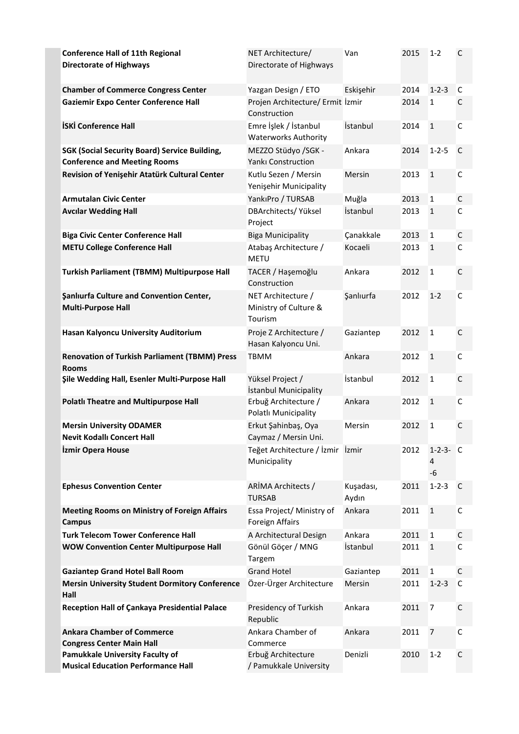| <b>Conference Hall of 11th Regional</b><br><b>Directorate of Highways</b>                   | NET Architecture/<br>Directorate of Highways           | Van                | 2015 | 1-2                   | $\mathsf{C}$ |
|---------------------------------------------------------------------------------------------|--------------------------------------------------------|--------------------|------|-----------------------|--------------|
| <b>Chamber of Commerce Congress Center</b>                                                  | Yazgan Design / ETO                                    | Eskişehir          | 2014 | $1 - 2 - 3$           | C            |
| <b>Gaziemir Expo Center Conference Hall</b>                                                 | Projen Architecture/ Ermit İzmir<br>Construction       |                    | 2014 | $\mathbf{1}$          | C            |
| <b>İSKİ Conference Hall</b>                                                                 | Emre İşlek / İstanbul<br><b>Waterworks Authority</b>   | İstanbul           | 2014 | $\mathbf{1}$          | C            |
| <b>SGK (Social Security Board) Service Building,</b><br><b>Conference and Meeting Rooms</b> | MEZZO Stüdyo /SGK -<br>Yankı Construction              | Ankara             | 2014 | $1 - 2 - 5$           | C            |
| Revision of Yenişehir Atatürk Cultural Center                                               | Kutlu Sezen / Mersin<br>Yenişehir Municipality         | Mersin             | 2013 | $\mathbf{1}$          | C            |
| <b>Armutalan Civic Center</b>                                                               | YankıPro / TURSAB                                      | Muğla              | 2013 | 1                     | C            |
| <b>Avcilar Wedding Hall</b>                                                                 | DBArchitects/Yüksel<br>Project                         | İstanbul           | 2013 | $\mathbf{1}$          | C            |
| <b>Biga Civic Center Conference Hall</b>                                                    | <b>Biga Municipality</b>                               | Çanakkale          | 2013 | 1                     | $\mathsf C$  |
| <b>METU College Conference Hall</b>                                                         | Atabaş Architecture /<br><b>METU</b>                   | Kocaeli            | 2013 | $\mathbf{1}$          | C            |
| Turkish Parliament (TBMM) Multipurpose Hall                                                 | TACER / Hașemoğlu<br>Construction                      | Ankara             | 2012 | $\mathbf{1}$          | $\mathsf{C}$ |
| <b>Şanlıurfa Culture and Convention Center,</b><br><b>Multi-Purpose Hall</b>                | NET Architecture /<br>Ministry of Culture &<br>Tourism | Sanlıurfa          | 2012 | $1 - 2$               | $\mathsf C$  |
| Hasan Kalyoncu University Auditorium                                                        | Proje Z Architecture /<br>Hasan Kalyoncu Uni.          | Gaziantep          | 2012 | $\mathbf{1}$          | $\mathsf C$  |
| <b>Renovation of Turkish Parliament (TBMM) Press</b><br><b>Rooms</b>                        | <b>TBMM</b>                                            | Ankara             | 2012 | $\mathbf{1}$          | C            |
| Şile Wedding Hall, Esenler Multi-Purpose Hall                                               | Yüksel Project /<br>İstanbul Municipality              | İstanbul           | 2012 | $\mathbf{1}$          | $\mathsf C$  |
| <b>Polatlı Theatre and Multipurpose Hall</b>                                                | Erbuğ Architecture /<br>Polatlı Municipality           | Ankara             | 2012 | $\mathbf{1}$          | C            |
| <b>Mersin University ODAMER</b><br><b>Nevit Kodallı Concert Hall</b>                        | Erkut Şahinbaş, Oya<br>Caymaz / Mersin Uni.            | Mersin             | 2012 | $\mathbf{1}$          | $\mathsf{C}$ |
| <b>Izmir Opera House</b>                                                                    | Teğet Architecture / İzmir İzmir<br>Municipality       |                    | 2012 | $1-2-3- C$<br>4<br>-6 |              |
| <b>Ephesus Convention Center</b>                                                            | ARİMA Architects /<br><b>TURSAB</b>                    | Kuşadası,<br>Aydın | 2011 | $1 - 2 - 3$           | C            |
| <b>Meeting Rooms on Ministry of Foreign Affairs</b><br><b>Campus</b>                        | Essa Project/ Ministry of<br>Foreign Affairs           | Ankara             | 2011 | $\mathbf{1}$          | C            |
| <b>Turk Telecom Tower Conference Hall</b>                                                   | A Architectural Design                                 | Ankara             | 2011 | $\mathbf{1}$          | C            |
| <b>WOW Convention Center Multipurpose Hall</b>                                              | Gönül Göçer / MNG<br>Targem                            | İstanbul           | 2011 | $\mathbf{1}$          | $\mathsf C$  |
| <b>Gaziantep Grand Hotel Ball Room</b>                                                      | <b>Grand Hotel</b>                                     | Gaziantep          | 2011 | $\mathbf{1}$          | C            |
| <b>Mersin University Student Dormitory Conference</b><br>Hall                               | Özer-Ürger Architecture                                | Mersin             | 2011 | $1 - 2 - 3$           | $\mathsf C$  |
| Reception Hall of Çankaya Presidential Palace                                               | Presidency of Turkish<br>Republic                      | Ankara             | 2011 | $\overline{7}$        | C            |
| <b>Ankara Chamber of Commerce</b><br><b>Congress Center Main Hall</b>                       | Ankara Chamber of<br>Commerce                          | Ankara             | 2011 | 7                     | C            |
| Pamukkale University Faculty of<br><b>Musical Education Performance Hall</b>                | Erbuğ Architecture<br>/ Pamukkale University           | Denizli            | 2010 | $1 - 2$               | C            |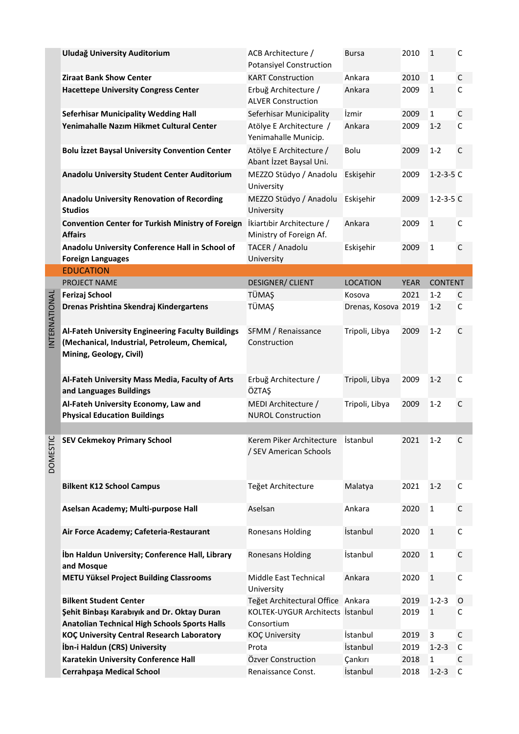|              | Uludağ University Auditorium                                                                                                  | ACB Architecture /<br><b>Potansiyel Construction</b> | <b>Bursa</b>        | 2010        | $\mathbf{1}$      | C            |
|--------------|-------------------------------------------------------------------------------------------------------------------------------|------------------------------------------------------|---------------------|-------------|-------------------|--------------|
|              | <b>Ziraat Bank Show Center</b>                                                                                                | <b>KART Construction</b>                             | Ankara              | 2010        | 1                 | С            |
|              | <b>Hacettepe University Congress Center</b>                                                                                   | Erbuğ Architecture /<br><b>ALVER Construction</b>    | Ankara              | 2009        | $\mathbf{1}$      | $\mathsf{C}$ |
|              | <b>Seferhisar Municipality Wedding Hall</b>                                                                                   | Seferhisar Municipality                              | İzmir               | 2009        | 1                 | $\mathsf C$  |
|              | Yenimahalle Nazım Hikmet Cultural Center                                                                                      | Atölye E Architecture /<br>Yenimahalle Municip.      | Ankara              | 2009        | $1 - 2$           | $\mathsf{C}$ |
|              | <b>Bolu İzzet Baysal University Convention Center</b>                                                                         | Atölye E Architecture /<br>Abant İzzet Baysal Uni.   | Bolu                | 2009        | $1 - 2$           | $\mathsf{C}$ |
|              | Anadolu University Student Center Auditorium                                                                                  | MEZZO Stüdyo / Anadolu<br>University                 | Eskişehir           | 2009        | $1 - 2 - 3 - 5$ C |              |
|              | <b>Anadolu University Renovation of Recording</b><br><b>Studios</b>                                                           | MEZZO Stüdyo / Anadolu<br>University                 | Eskişehir           | 2009        | $1 - 2 - 3 - 5$ C |              |
|              | Convention Center for Turkish Ministry of Foreign<br><b>Affairs</b>                                                           | İkiartıbir Architecture /<br>Ministry of Foreign Af. | Ankara              | 2009        | $\mathbf{1}$      | $\mathsf C$  |
|              | Anadolu University Conference Hall in School of<br><b>Foreign Languages</b>                                                   | TACER / Anadolu<br>University                        | Eskişehir           | 2009        | 1                 | C            |
|              | <b>EDUCATION</b>                                                                                                              |                                                      |                     |             |                   |              |
|              | <b>PROJECT NAME</b>                                                                                                           | <b>DESIGNER/ CLIENT</b>                              | <b>LOCATION</b>     | <b>YEAR</b> | <b>CONTENT</b>    |              |
|              | <b>Ferizaj School</b>                                                                                                         | TÜMAŞ                                                | Kosova              | 2021        | $1 - 2$           | C            |
| NTERNATIONAL | Drenas Prishtina Skendraj Kindergartens                                                                                       | <b>TÜMAŞ</b>                                         | Drenas, Kosova 2019 |             | $1 - 2$           | C            |
|              | Al-Fateh University Engineering Faculty Buildings<br>(Mechanical, Industrial, Petroleum, Chemical,<br>Mining, Geology, Civil) | SFMM / Renaissance<br>Construction                   | Tripoli, Libya      | 2009        | $1 - 2$           | $\mathsf{C}$ |
|              | Al-Fateh University Mass Media, Faculty of Arts<br>and Languages Buildings                                                    | Erbuğ Architecture /<br>ÖZTAŞ                        | Tripoli, Libya      | 2009        | $1 - 2$           | $\mathsf C$  |
|              | Al-Fateh University Economy, Law and<br><b>Physical Education Buildings</b>                                                   | MEDI Architecture /<br><b>NUROL Construction</b>     | Tripoli, Libya      | 2009        | $1 - 2$           | C            |
|              |                                                                                                                               |                                                      |                     |             |                   |              |
| DOMESTIC     | <b>SEV Cekmekoy Primary School</b>                                                                                            | Kerem Piker Architecture<br>/ SEV American Schools   | Istanbul            | 2021        | $1 - 2$           | C            |
|              | <b>Bilkent K12 School Campus</b>                                                                                              | Teğet Architecture                                   | Malatya             | 2021        | $1 - 2$           | C            |
|              | Aselsan Academy; Multi-purpose Hall                                                                                           | Aselsan                                              | Ankara              | 2020        | $\mathbf{1}$      | C            |
|              | Air Force Academy; Cafeteria-Restaurant                                                                                       | Ronesans Holding                                     | İstanbul            | 2020        | $\mathbf{1}$      | $\mathsf C$  |
|              | İbn Haldun University; Conference Hall, Library<br>and Mosque                                                                 | <b>Ronesans Holding</b>                              | İstanbul            | 2020        | $\mathbf{1}$      | $\mathsf C$  |
|              | <b>METU Yüksel Project Building Classrooms</b>                                                                                | Middle East Technical<br>University                  | Ankara              | 2020        | $\mathbf{1}$      | C            |
|              | <b>Bilkent Student Center</b>                                                                                                 | Teğet Architectural Office Ankara                    |                     | 2019        | $1 - 2 - 3$       | O            |
|              | Şehit Binbaşı Karabıyık and Dr. Oktay Duran                                                                                   | KOLTEK-UYGUR Architects İstanbul                     |                     | 2019        | $\mathbf{1}$      | C            |
|              | <b>Anatolian Technical High Schools Sports Halls</b>                                                                          | Consortium                                           |                     |             |                   |              |
|              | <b>KOÇ University Central Research Laboratory</b>                                                                             | <b>KOÇ University</b>                                | İstanbul            | 2019        | 3                 | $\mathsf C$  |
|              | İbn-i Haldun (CRS) University                                                                                                 | Prota                                                | İstanbul            | 2019        | $1 - 2 - 3$       | C            |
|              | Karatekin University Conference Hall                                                                                          | Özver Construction                                   | Çankırı             | 2018        | 1                 | C            |
|              | <b>Cerrahpaşa Medical School</b>                                                                                              | Renaissance Const.                                   | İstanbul            | 2018        | $1 - 2 - 3$       | C            |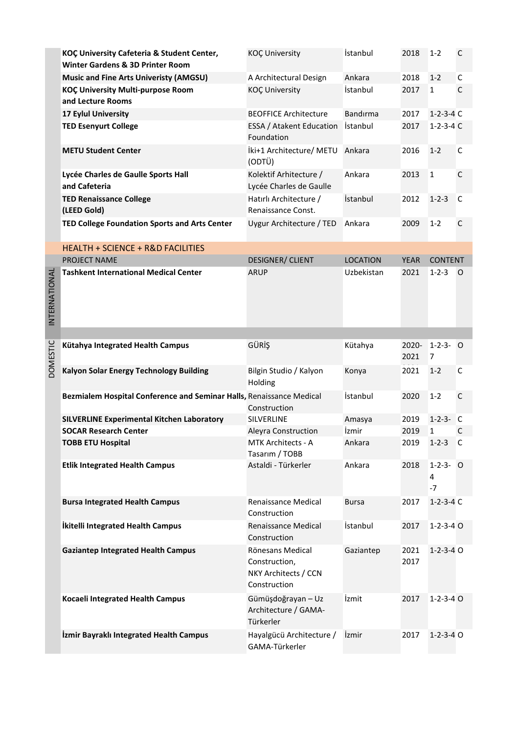|                 | KOÇ University Cafeteria & Student Center,<br>Winter Gardens & 3D Printer Room | <b>KOÇ University</b>                                                     | İstanbul        | 2018          | $1 - 2$                | C |
|-----------------|--------------------------------------------------------------------------------|---------------------------------------------------------------------------|-----------------|---------------|------------------------|---|
|                 | <b>Music and Fine Arts Univeristy (AMGSU)</b>                                  | A Architectural Design                                                    | Ankara          | 2018          | $1 - 2$                | C |
|                 | KOÇ University Multi-purpose Room<br>and Lecture Rooms                         | <b>KOÇ University</b>                                                     | İstanbul        | 2017          | $\mathbf{1}$           | C |
|                 | 17 Eylul University                                                            | <b>BEOFFICE Architecture</b>                                              | Bandırma        | 2017          | $1-2-3-4$ C            |   |
|                 | <b>TED Esenyurt College</b>                                                    | ESSA / Atakent Education<br>Foundation                                    | İstanbul        | 2017          | $1 - 2 - 3 - 4$ C      |   |
|                 | <b>METU Student Center</b>                                                     | İki+1 Architecture/ METU<br>(ODTÜ)                                        | Ankara          | 2016          | $1 - 2$                | C |
|                 | Lycée Charles de Gaulle Sports Hall<br>and Cafeteria                           | Kolektif Arhitecture /<br>Lycée Charles de Gaulle                         | Ankara          | 2013          | $\mathbf{1}$           | C |
|                 | <b>TED Renaissance College</b><br>(LEED Gold)                                  | Hatırlı Architecture /<br>Renaissance Const.                              | <i>istanbul</i> | 2012          | $1 - 2 - 3$            | C |
|                 | TED College Foundation Sports and Arts Center                                  | Uygur Architecture / TED                                                  | Ankara          | 2009          | $1 - 2$                | C |
|                 | <b>HEALTH + SCIENCE + R&amp;D FACILITIES</b>                                   |                                                                           |                 |               |                        |   |
|                 | PROJECT NAME                                                                   | <b>DESIGNER/ CLIENT</b>                                                   | <b>LOCATION</b> | <b>YEAR</b>   | <b>CONTENT</b>         |   |
| INTERNATIONAL   | <b>Tashkent International Medical Center</b>                                   | <b>ARUP</b>                                                               | Uzbekistan      | 2021          | $1 - 2 - 3$            | O |
|                 |                                                                                |                                                                           |                 |               |                        |   |
| <b>DOMESTIC</b> | Kütahya Integrated Health Campus                                               | GÜRİŞ                                                                     | Kütahya         | 2020-<br>2021 | $1-2-3-0$<br>7         |   |
|                 | Kalyon Solar Energy Technology Building                                        | Bilgin Studio / Kalyon<br>Holding                                         | Konya           | 2021          | $1 - 2$                | C |
|                 | Bezmialem Hospital Conference and Seminar Halls, Renaissance Medical           | Construction                                                              | İstanbul        | 2020          | $1 - 2$                | C |
|                 | <b>SILVERLINE Experimental Kitchen Laboratory</b>                              | <b>SILVERLINE</b>                                                         | Amasya          | 2019          | $1 - 2 - 3 -$          | C |
|                 | <b>SOCAR Research Center</b>                                                   | Aleyra Construction                                                       | İzmir           | 2019          | $\mathbf{1}$           | C |
|                 | <b>TOBB ETU Hospital</b>                                                       | <b>MTK Architects - A</b><br>Tasarım / TOBB                               | Ankara          | 2019          | $1-2-3$ C              |   |
|                 | <b>Etlik Integrated Health Campus</b>                                          | Astaldi - Türkerler                                                       | Ankara          | 2018          | $1-2-3-0$<br>4<br>$-7$ |   |
|                 | <b>Bursa Integrated Health Campus</b>                                          | Renaissance Medical<br>Construction                                       | <b>Bursa</b>    | 2017          | $1 - 2 - 3 - 4$ C      |   |
|                 | İkitelli Integrated Health Campus                                              | Renaissance Medical<br>Construction                                       | İstanbul        | 2017          | $1 - 2 - 3 - 4$ O      |   |
|                 | <b>Gaziantep Integrated Health Campus</b>                                      | Rönesans Medical<br>Construction,<br>NKY Architects / CCN<br>Construction | Gaziantep       | 2021<br>2017  | $1 - 2 - 3 - 4$ O      |   |
|                 | Kocaeli Integrated Health Campus                                               | Gümüşdoğrayan - Uz<br>Architecture / GAMA-<br>Türkerler                   | İzmit           | 2017          | $1 - 2 - 3 - 4$ O      |   |
|                 | İzmir Bayraklı Integrated Health Campus                                        | Hayalgücü Architecture /<br>GAMA-Türkerler                                | İzmir           | 2017          | $1 - 2 - 3 - 4$ O      |   |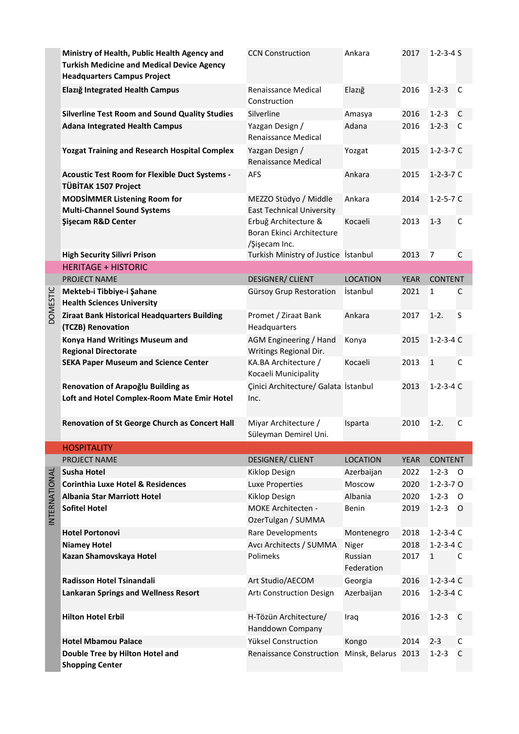|               | Ministry of Health, Public Health Agency and<br><b>Turkish Medicine and Medical Device Agency</b><br><b>Headquarters Campus Project</b> | <b>CCN Construction</b>                                            | Ankara                | 2017        | $1 - 2 - 3 - 4S$  |              |
|---------------|-----------------------------------------------------------------------------------------------------------------------------------------|--------------------------------------------------------------------|-----------------------|-------------|-------------------|--------------|
|               | Elazığ Integrated Health Campus                                                                                                         | Renaissance Medical<br>Construction                                | Elazığ                | 2016        | $1 - 2 - 3$       | C            |
|               | <b>Silverline Test Room and Sound Quality Studies</b>                                                                                   | Silverline                                                         | Amasya                | 2016        | $1 - 2 - 3$       | C            |
|               | <b>Adana Integrated Health Campus</b>                                                                                                   | Yazgan Design /<br>Renaissance Medical                             | Adana                 | 2016        | $1 - 2 - 3$       | C            |
|               | <b>Yozgat Training and Research Hospital Complex</b>                                                                                    | Yazgan Design /<br><b>Renaissance Medical</b>                      | Yozgat                | 2015        | $1 - 2 - 3 - 7$ C |              |
|               | Acoustic Test Room for Flexible Duct Systems -<br>TÜBİTAK 1507 Project                                                                  | <b>AFS</b>                                                         | Ankara                | 2015        | $1 - 2 - 3 - 7$ C |              |
|               | <b>MODSİMMER Listening Room for</b><br><b>Multi-Channel Sound Systems</b>                                                               | MEZZO Stüdyo / Middle<br><b>East Technical University</b>          | Ankara                | 2014        | $1 - 2 - 5 - 7$ C |              |
|               | <b>Şişecam R&amp;D Center</b>                                                                                                           | Erbuğ Architecture &<br>Boran Ekinci Architecture<br>/Şişecam Inc. | Kocaeli               | 2013        | $1 - 3$           | C            |
|               | <b>High Security Silivri Prison</b>                                                                                                     | Turkish Ministry of Justice İstanbul                               |                       | 2013        | $\overline{7}$    | $\mathsf{C}$ |
|               | <b>HERITAGE + HISTORIC</b>                                                                                                              |                                                                    |                       |             |                   |              |
|               | PROJECT NAME                                                                                                                            | <b>DESIGNER/ CLIENT</b>                                            | <b>LOCATION</b>       | <b>YEAR</b> | <b>CONTENT</b>    |              |
| DOMESTIC      | Mekteb-i Tibbiye-i Şahane<br><b>Health Sciences University</b>                                                                          | Gürsoy Grup Restoration                                            | İstanbul              | 2021        | 1                 | C            |
|               | Ziraat Bank Historical Headquarters Building<br>(TCZB) Renovation                                                                       | Promet / Ziraat Bank<br>Headquarters                               | Ankara                | 2017        | $1-2.$            | S            |
|               | Konya Hand Writings Museum and<br><b>Regional Directorate</b>                                                                           | AGM Engineering / Hand<br>Writings Regional Dir.                   | Konya                 | 2015        | $1 - 2 - 3 - 4$ C |              |
|               | <b>SEKA Paper Museum and Science Center</b>                                                                                             | KA.BA Architecture /<br>Kocaeli Municipality                       | Kocaeli               | 2013        | $\mathbf{1}$      | C            |
|               | Renovation of Arapoğlu Building as<br>Loft and Hotel Complex-Room Mate Emir Hotel                                                       | Çinici Architecture/ Galata İstanbul<br>Inc.                       |                       | 2013        | $1 - 2 - 3 - 4$ C |              |
|               | Renovation of St George Church as Concert Hall                                                                                          | Miyar Architecture /<br>Süleyman Demirel Uni.                      | Isparta               | 2010        | $1-2.$            | C            |
|               | <b>HOSPITALITY</b>                                                                                                                      |                                                                    |                       |             |                   |              |
|               | PROJECT NAME                                                                                                                            | <b>DESIGNER/ CLIENT</b>                                            | <b>LOCATION</b>       | <b>YEAR</b> | <b>CONTENT</b>    |              |
|               | <b>Susha Hotel</b>                                                                                                                      | Kiklop Design                                                      | Azerbaijan            | 2022        | $1 - 2 - 3$       | - 0          |
|               | <b>Corinthia Luxe Hotel &amp; Residences</b>                                                                                            | Luxe Properties                                                    | Moscow                | 2020        | $1 - 2 - 3 - 7$ O |              |
|               | <b>Albania Star Marriott Hotel</b>                                                                                                      | Kiklop Design                                                      | Albania               | 2020        | $1 - 2 - 3$       | $\circ$      |
| INTERNATIONAL | <b>Sofitel Hotel</b>                                                                                                                    | MOKE Architecten -<br>OzerTulgan / SUMMA                           | Benin                 | 2019        | $1 - 2 - 3$       | $\circ$      |
|               | <b>Hotel Portonovi</b>                                                                                                                  | Rare Developments                                                  | Montenegro            | 2018        | $1 - 2 - 3 - 4 C$ |              |
|               | <b>Niamey Hotel</b>                                                                                                                     | Avcı Architects / SUMMA                                            | Niger                 | 2018        | $1-2-3-4$ C       |              |
|               | Kazan Shamovskaya Hotel                                                                                                                 | Polimeks                                                           | Russian<br>Federation | 2017        | $\mathbf{1}$      | C            |
|               | Radisson Hotel Tsinandali                                                                                                               | Art Studio/AECOM                                                   | Georgia               | 2016        | $1 - 2 - 3 - 4$ C |              |
|               | <b>Lankaran Springs and Wellness Resort</b>                                                                                             | Artı Construction Design                                           | Azerbaijan            | 2016        | $1 - 2 - 3 - 4$ C |              |
|               | <b>Hilton Hotel Erbil</b>                                                                                                               | H-Tözün Architecture/<br>Handdown Company                          | Iraq                  | 2016        | $1 - 2 - 3$       | C            |
|               | <b>Hotel Mbamou Palace</b>                                                                                                              | Yüksel Construction                                                | Kongo                 | 2014        | $2 - 3$           | C            |
|               | Double Tree by Hilton Hotel and<br><b>Shopping Center</b>                                                                               | <b>Renaissance Construction</b>                                    | Minsk, Belarus 2013   |             | $1 - 2 - 3$       | C            |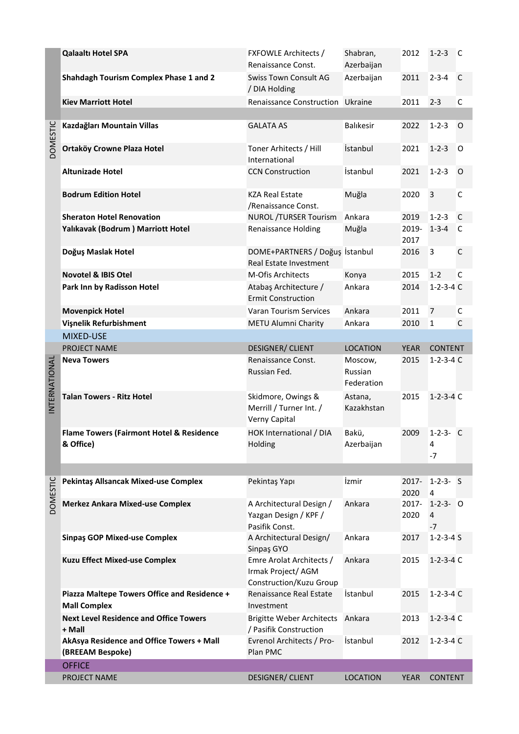|                 | <b>Qalaaltı Hotel SPA</b>                                           | <b>FXFOWLE Architects /</b><br>Renaissance Const.                         | Shabran,<br>Azerbaijan           | 2012             | $1 - 2 - 3$                               | C       |
|-----------------|---------------------------------------------------------------------|---------------------------------------------------------------------------|----------------------------------|------------------|-------------------------------------------|---------|
|                 | Shahdagh Tourism Complex Phase 1 and 2                              | <b>Swiss Town Consult AG</b><br>/ DIA Holding                             | Azerbaijan                       | 2011             | $2 - 3 - 4$                               | C       |
|                 | <b>Kiev Marriott Hotel</b>                                          | <b>Renaissance Construction</b>                                           | Ukraine                          | 2011             | $2 - 3$                                   | C       |
|                 |                                                                     |                                                                           |                                  |                  |                                           |         |
| <b>DOMESTIC</b> | Kazdağları Mountain Villas                                          | <b>GALATA AS</b>                                                          | <b>Balikesir</b>                 | 2022             | $1 - 2 - 3$                               | $\circ$ |
|                 | Ortaköy Crowne Plaza Hotel                                          | Toner Arhitects / Hill<br>International                                   | İstanbul                         | 2021             | $1 - 2 - 3$                               | 0       |
|                 | <b>Altunizade Hotel</b>                                             | <b>CCN Construction</b>                                                   | İstanbul                         | 2021             | $1 - 2 - 3$                               | $\circ$ |
|                 | <b>Bodrum Edition Hotel</b>                                         | <b>KZA Real Estate</b><br>/Renaissance Const.                             | Muğla                            | 2020             | 3                                         | C       |
|                 | <b>Sheraton Hotel Renovation</b>                                    | <b>NUROL /TURSER Tourism</b>                                              | Ankara                           | 2019             | $1 - 2 - 3$                               | C       |
|                 | Yalıkavak (Bodrum) Marriott Hotel                                   | <b>Renaissance Holding</b>                                                | Muğla                            | 2019-<br>2017    | $1 - 3 - 4$                               | C       |
|                 | Doğuş Maslak Hotel                                                  | DOME+PARTNERS / Doğuş İstanbul<br>Real Estate Investment                  |                                  | 2016             | 3                                         | С       |
|                 | <b>Novotel &amp; IBIS Otel</b>                                      | M-Ofis Architects                                                         | Konya                            | 2015             | $1 - 2$                                   | C       |
|                 | Park Inn by Radisson Hotel                                          | Atabaş Architecture /<br><b>Ermit Construction</b>                        | Ankara                           | 2014             | $1 - 2 - 3 - 4$ C                         |         |
|                 | <b>Movenpick Hotel</b>                                              | Varan Tourism Services                                                    | Ankara                           | 2011             | $\overline{7}$                            | C       |
|                 | Vişnelik Refurbishment                                              | METU Alumni Charity                                                       | Ankara                           | 2010             | $\mathbf{1}$                              | C       |
|                 | MIXED-USE                                                           |                                                                           |                                  |                  |                                           |         |
|                 | PROJECT NAME                                                        | <b>DESIGNER/ CLIENT</b>                                                   | <b>LOCATION</b>                  | <b>YEAR</b>      | <b>CONTENT</b>                            |         |
| INTERNATIONAL   | <b>Neva Towers</b>                                                  | Renaissance Const.<br>Russian Fed.                                        | Moscow,<br>Russian<br>Federation | 2015             | $1 - 2 - 3 - 4$ C                         |         |
|                 | <b>Talan Towers - Ritz Hotel</b>                                    | Skidmore, Owings &<br>Merrill / Turner Int. /<br>Verny Capital            | Astana,<br>Kazakhstan            | 2015             | $1 - 2 - 3 - 4$ C                         |         |
|                 | <b>Flame Towers (Fairmont Hotel &amp; Residence</b><br>& Office)    | HOK International / DIA<br>Holding                                        | Bakü,<br>Azerbaijan              | 2009             | $1 - 2 - 3 - C$<br>4<br>-7                |         |
|                 |                                                                     |                                                                           |                                  |                  |                                           |         |
| <b>DOMESTIC</b> | Pekintaş Allsancak Mixed-use Complex                                | Pekintaş Yapı                                                             | İzmir                            | $2017 -$<br>2020 | $1 - 2 - 3 - 5$<br>4                      |         |
|                 | <b>Merkez Ankara Mixed-use Complex</b>                              | A Architectural Design /<br>Yazgan Design / KPF /<br>Pasifik Const.       | Ankara                           | 2017-<br>2020    | $1 - 2 - 3 - 0$<br>$\overline{4}$<br>$-7$ |         |
|                 | <b>Sinpaş GOP Mixed-use Complex</b>                                 | A Architectural Design/<br>Sinpaş GYO                                     | Ankara                           | 2017             | $1 - 2 - 3 - 4S$                          |         |
|                 | <b>Kuzu Effect Mixed-use Complex</b>                                | Emre Arolat Architects /<br>Irmak Project/ AGM<br>Construction/Kuzu Group | Ankara                           | 2015             | $1 - 2 - 3 - 4$ C                         |         |
|                 | Piazza Maltepe Towers Office and Residence +<br><b>Mall Complex</b> | Renaissance Real Estate<br>Investment                                     | İstanbul                         | 2015             | $1 - 2 - 3 - 4$ C                         |         |
|                 | <b>Next Level Residence and Office Towers</b><br>+ Mall             | <b>Brigitte Weber Architects</b><br>/ Pasifik Construction                | Ankara                           | 2013             | $1 - 2 - 3 - 4$ C                         |         |
|                 | AkAsya Residence and Office Towers + Mall<br>(BREEAM Bespoke)       | Evrenol Architects / Pro-<br>Plan PMC                                     | İstanbul                         | 2012             | $1-2-3-4$ C                               |         |
|                 | <b>OFFICE</b>                                                       |                                                                           |                                  |                  |                                           |         |
|                 | PROJECT NAME                                                        | <b>DESIGNER/ CLIENT</b>                                                   | <b>LOCATION</b>                  | <b>YEAR</b>      | <b>CONTENT</b>                            |         |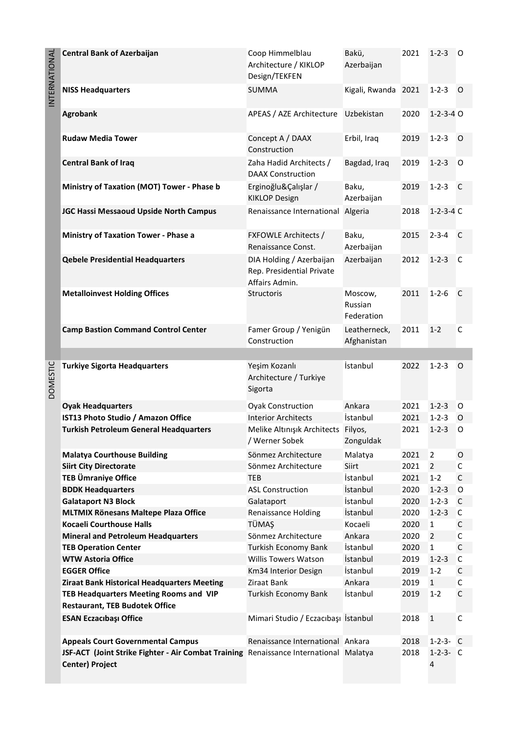| INTERNATIONAL   | <b>Central Bank of Azerbaijan</b>                                                                               | Coop Himmelblau<br>Architecture / KIKLOP<br>Design/TEKFEN               | Bakü,<br>Azerbaijan              | 2021 | $1 - 2 - 3$       | O            |
|-----------------|-----------------------------------------------------------------------------------------------------------------|-------------------------------------------------------------------------|----------------------------------|------|-------------------|--------------|
|                 | <b>NISS Headquarters</b>                                                                                        | <b>SUMMA</b>                                                            | Kigali, Rwanda 2021              |      | $1 - 2 - 3$       | $\circ$      |
|                 | Agrobank                                                                                                        | APEAS / AZE Architecture                                                | Uzbekistan                       | 2020 | $1 - 2 - 3 - 4$ O |              |
|                 | <b>Rudaw Media Tower</b>                                                                                        | Concept A / DAAX<br>Construction                                        | Erbil, Iraq                      | 2019 | $1 - 2 - 3$       | $\circ$      |
|                 | <b>Central Bank of Iraq</b>                                                                                     | Zaha Hadid Architects /<br><b>DAAX Construction</b>                     | Bagdad, Iraq                     | 2019 | $1 - 2 - 3$       | O            |
|                 | Ministry of Taxation (MOT) Tower - Phase b                                                                      | Erginoğlu&Çalışlar /<br><b>KIKLOP Design</b>                            | Baku,<br>Azerbaijan              | 2019 | $1 - 2 - 3$       | C            |
|                 | JGC Hassi Messaoud Upside North Campus                                                                          | Renaissance International Algeria                                       |                                  | 2018 | $1-2-3-4$ C       |              |
|                 | <b>Ministry of Taxation Tower - Phase a</b>                                                                     | <b>FXFOWLE Architects /</b><br>Renaissance Const.                       | Baku,<br>Azerbaijan              | 2015 | $2 - 3 - 4$       | C            |
|                 | <b>Qebele Presidential Headquarters</b>                                                                         | DIA Holding / Azerbaijan<br>Rep. Presidential Private<br>Affairs Admin. | Azerbaijan                       | 2012 | $1 - 2 - 3$       | C            |
|                 | <b>Metalloinvest Holding Offices</b>                                                                            | Structoris                                                              | Moscow,<br>Russian<br>Federation | 2011 | $1 - 2 - 6$       | C            |
|                 | <b>Camp Bastion Command Control Center</b>                                                                      | Famer Group / Yenigün<br>Construction                                   | Leatherneck,<br>Afghanistan      | 2011 | $1 - 2$           | C            |
|                 |                                                                                                                 |                                                                         |                                  |      |                   |              |
| <b>DOMESTIC</b> | <b>Turkiye Sigorta Headquarters</b>                                                                             | Yeşim Kozanlı<br>Architecture / Turkiye<br>Sigorta                      | İstanbul                         | 2022 | $1 - 2 - 3$       | $\circ$      |
|                 | <b>Oyak Headquarters</b>                                                                                        | <b>Oyak Construction</b>                                                | Ankara                           | 2021 | $1 - 2 - 3$       | O            |
|                 | IST13 Photo Studio / Amazon Office                                                                              | <b>Interior Architects</b>                                              | İstanbul                         | 2021 | $1 - 2 - 3$       | O            |
|                 | <b>Turkish Petroleum General Headquarters</b>                                                                   | Melike Altınışık Architects<br>/ Werner Sobek                           | Filyos,<br>Zonguldak             | 2021 | $1 - 2 - 3$       | 0            |
|                 | <b>Malatya Courthouse Building</b>                                                                              | Sönmez Architecture                                                     | Malatya                          | 2021 | $\overline{2}$    | 0            |
|                 | <b>Siirt City Directorate</b>                                                                                   | Sönmez Architecture                                                     | Siirt                            | 2021 | $\overline{2}$    | C            |
|                 | <b>TEB Ümraniye Office</b>                                                                                      | <b>TEB</b>                                                              | İstanbul                         | 2021 | $1 - 2$           | $\mathsf{C}$ |
|                 | <b>BDDK Headquarters</b>                                                                                        | <b>ASL Construction</b>                                                 | İstanbul                         | 2020 | $1 - 2 - 3$       | 0            |
|                 | <b>Galataport N3 Block</b>                                                                                      | Galataport                                                              | İstanbul                         | 2020 | $1 - 2 - 3$       | C            |
|                 | MLTMIX Rönesans Maltepe Plaza Office                                                                            | <b>Renaissance Holding</b>                                              | İstanbul                         | 2020 | $1 - 2 - 3$       | C            |
|                 | <b>Kocaeli Courthouse Halls</b>                                                                                 | TÜMAŞ                                                                   | Kocaeli                          | 2020 | 1                 | C            |
|                 | <b>Mineral and Petroleum Headquarters</b>                                                                       | Sönmez Architecture                                                     | Ankara                           | 2020 | $\overline{2}$    | C            |
|                 | <b>TEB Operation Center</b>                                                                                     | Turkish Economy Bank                                                    | İstanbul                         | 2020 | $\mathbf{1}$      | $\mathsf{C}$ |
|                 | <b>WTW Astoria Office</b>                                                                                       | <b>Willis Towers Watson</b>                                             | İstanbul                         | 2019 | $1 - 2 - 3$       | C            |
|                 | <b>EGGER Office</b>                                                                                             | Km34 Interior Design                                                    | İstanbul                         | 2019 | $1 - 2$           | C            |
|                 | <b>Ziraat Bank Historical Headquarters Meeting</b>                                                              | Ziraat Bank                                                             | Ankara                           | 2019 | $\mathbf{1}$      | C            |
|                 | TEB Headquarters Meeting Rooms and VIP                                                                          | Turkish Economy Bank                                                    | İstanbul                         | 2019 | $1 - 2$           | $\mathsf{C}$ |
|                 | <b>Restaurant, TEB Budotek Office</b>                                                                           |                                                                         |                                  |      |                   |              |
|                 | <b>ESAN Eczacibaşı Office</b>                                                                                   | Mimari Studio / Eczacıbaşı İstanbul                                     |                                  | 2018 | $\mathbf 1$       | C            |
|                 | <b>Appeals Court Governmental Campus</b>                                                                        | Renaissance International Ankara                                        |                                  | 2018 | $1-2-3- C$        |              |
|                 | JSF-ACT (Joint Strike Fighter - Air Combat Training Renaissance International Malatya<br><b>Center) Project</b> |                                                                         |                                  | 2018 | $1-2-3- C$<br>4   |              |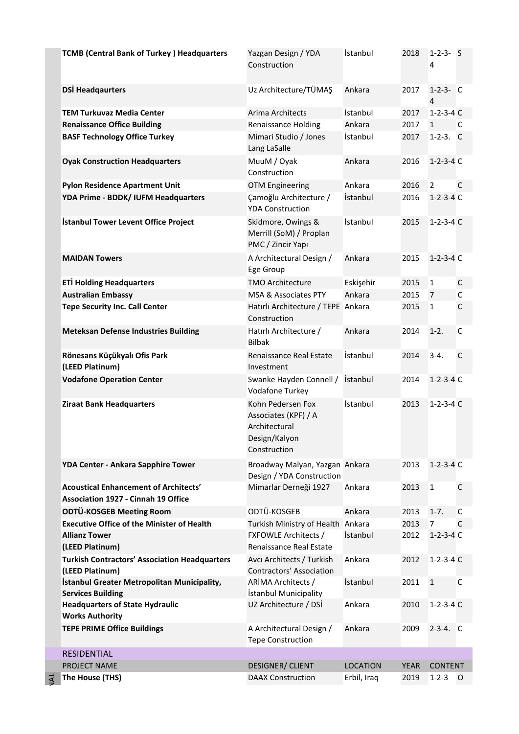| <b>TCMB (Central Bank of Turkey) Headquarters</b>                                          | Yazgan Design / YDA<br>Construction                                                         | İstanbul        | 2018        | $1 - 2 - 3 - 5$<br>4              |              |
|--------------------------------------------------------------------------------------------|---------------------------------------------------------------------------------------------|-----------------|-------------|-----------------------------------|--------------|
| <b>DSİ Headqaurters</b>                                                                    | Uz Architecture/TÜMAŞ                                                                       | Ankara          | 2017        | $1 - 2 - 3 - C$<br>$\overline{4}$ |              |
| <b>TEM Turkuvaz Media Center</b>                                                           | Arima Architects                                                                            | İstanbul        | 2017        | $1 - 2 - 3 - 4$ C                 |              |
| <b>Renaissance Office Building</b>                                                         | <b>Renaissance Holding</b>                                                                  | Ankara          | 2017        | $\mathbf{1}$                      | C            |
| <b>BASF Technology Office Turkey</b>                                                       | Mimari Studio / Jones<br>Lang LaSalle                                                       | İstanbul        | 2017        | $1-2-3.$ C                        |              |
| <b>Oyak Construction Headquarters</b>                                                      | MuuM / Oyak<br>Construction                                                                 | Ankara          | 2016        | $1 - 2 - 3 - 4$ C                 |              |
| <b>Pylon Residence Apartment Unit</b>                                                      | <b>OTM Engineering</b>                                                                      | Ankara          | 2016        | $\overline{2}$                    | $\mathsf{C}$ |
| YDA Prime - BDDK/ IUFM Headquarters                                                        | Çamoğlu Architecture /<br><b>YDA Construction</b>                                           | İstanbul        | 2016        | $1-2-3-4C$                        |              |
| İstanbul Tower Levent Office Project                                                       | Skidmore, Owings &<br>Merrill (SoM) / Proplan<br>PMC / Zincir Yapı                          | İstanbul        | 2015        | $1 - 2 - 3 - 4$ C                 |              |
| <b>MAIDAN Towers</b>                                                                       | A Architectural Design /<br>Ege Group                                                       | Ankara          | 2015        | $1 - 2 - 3 - 4$ C                 |              |
| <b>ETİ Holding Headquarters</b>                                                            | <b>TMO Architecture</b>                                                                     | Eskişehir       | 2015        | $\mathbf{1}$                      | C            |
| <b>Australian Embassy</b>                                                                  | MSA & Associates PTY                                                                        | Ankara          | 2015        | $\overline{7}$                    | $\mathsf C$  |
| <b>Tepe Security Inc. Call Center</b>                                                      | Hatırlı Architecture / TEPE Ankara<br>Construction                                          |                 | 2015        | $\mathbf 1$                       | $\mathsf{C}$ |
| <b>Meteksan Defense Industries Building</b>                                                | Hatırlı Architecture /<br><b>Bilbak</b>                                                     | Ankara          | 2014        | $1-2.$                            | $\mathsf{C}$ |
| Rönesans Küçükyalı Ofis Park<br>(LEED Platinum)                                            | Renaissance Real Estate<br>Investment                                                       | İstanbul        | 2014        | $3 - 4.$                          | $\mathsf{C}$ |
| <b>Vodafone Operation Center</b>                                                           | Swanke Hayden Connell /<br>Vodafone Turkey                                                  | İstanbul        | 2014        | $1 - 2 - 3 - 4$ C                 |              |
| <b>Ziraat Bank Headquarters</b>                                                            | Kohn Pedersen Fox<br>Associates (KPF) / A<br>Architectural<br>Design/Kalyon<br>Construction | İstanbul        | 2013        | $1 - 2 - 3 - 4$ C                 |              |
| YDA Center - Ankara Sapphire Tower                                                         | Broadway Malyan, Yazgan Ankara<br>Design / YDA Construction                                 |                 | 2013        | $1 - 2 - 3 - 4$ C                 |              |
| <b>Acoustical Enhancement of Architects'</b><br><b>Association 1927 - Cinnah 19 Office</b> | Mimarlar Derneği 1927                                                                       | Ankara          | 2013        | $\mathbf{1}$                      | $\mathsf{C}$ |
| ODTÜ-KOSGEB Meeting Room                                                                   | ODTÜ-KOSGEB                                                                                 | Ankara          | 2013        | $1 - 7.$                          | C            |
| <b>Executive Office of the Minister of Health</b>                                          | Turkish Ministry of Health                                                                  | Ankara          | 2013        | 7                                 | $\mathsf{C}$ |
| <b>Allianz Tower</b><br>(LEED Platinum)                                                    | <b>FXFOWLE Architects /</b><br>Renaissance Real Estate                                      | İstanbul        | 2012        | $1 - 2 - 3 - 4$ C                 |              |
| <b>Turkish Contractors' Association Headquarters</b><br>(LEED Platinum)                    | Avcı Architects / Turkish<br><b>Contractors' Association</b>                                | Ankara          | 2012        | $1-2-3-4$ C                       |              |
| İstanbul Greater Metropolitan Municipality,<br><b>Services Building</b>                    | ARİMA Architects /<br>İstanbul Municipality                                                 | İstanbul        | 2011        | $\mathbf{1}$                      | C            |
| <b>Headquarters of State Hydraulic</b><br><b>Works Authority</b>                           | UZ Architecture / DSİ                                                                       | Ankara          | 2010        | $1 - 2 - 3 - 4$ C                 |              |
| <b>TEPE PRIME Office Buildings</b>                                                         | A Architectural Design /<br><b>Tepe Construction</b>                                        | Ankara          | 2009        | $2-3-4.$ C                        |              |
| <b>RESIDENTIAL</b>                                                                         |                                                                                             |                 |             |                                   |              |
| PROJECT NAME                                                                               | <b>DESIGNER/ CLIENT</b>                                                                     | <b>LOCATION</b> | <b>YEAR</b> | <b>CONTENT</b>                    |              |
| The House (THS)                                                                            | <b>DAAX Construction</b>                                                                    | Erbil, Iraq     | 2019        | $1 - 2 - 3$ O                     |              |

INTERNATIONAL

JAL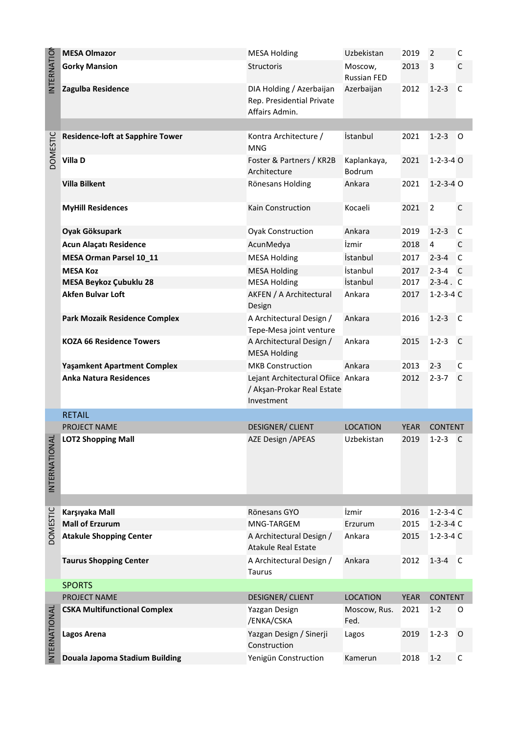|                   | <b>MESA Olmazor</b>                     | <b>MESA Holding</b>                                                            | Uzbekistan                    | 2019        | 2                 | C            |
|-------------------|-----------------------------------------|--------------------------------------------------------------------------------|-------------------------------|-------------|-------------------|--------------|
| <b>INTERNATIO</b> | <b>Gorky Mansion</b>                    | Structoris                                                                     | Moscow,<br><b>Russian FED</b> | 2013        | 3                 | C            |
|                   | Zagulba Residence                       | DIA Holding / Azerbaijan<br>Rep. Presidential Private<br>Affairs Admin.        | Azerbaijan                    | 2012        | $1 - 2 - 3$       | C            |
|                   |                                         |                                                                                |                               |             |                   |              |
| <b>DOMESTIC</b>   | <b>Residence-loft at Sapphire Tower</b> | Kontra Architecture /<br><b>MNG</b>                                            | <i>istanbul</i>               | 2021        | $1 - 2 - 3$       | $\circ$      |
|                   | Villa D                                 | Foster & Partners / KR2B<br>Architecture                                       | Kaplankaya,<br>Bodrum         | 2021        | $1 - 2 - 3 - 4$ O |              |
|                   | <b>Villa Bilkent</b>                    | Rönesans Holding                                                               | Ankara                        | 2021        | $1 - 2 - 3 - 4$ O |              |
|                   | <b>MyHill Residences</b>                | Kain Construction                                                              | Kocaeli                       | 2021        | $\overline{2}$    | $\mathsf{C}$ |
|                   | Oyak Göksupark                          | <b>Oyak Construction</b>                                                       | Ankara                        | 2019        | $1 - 2 - 3$       | C            |
|                   | Acun Alaçatı Residence                  | AcunMedya                                                                      | İzmir                         | 2018        | $\overline{4}$    | C            |
|                   | MESA Orman Parsel 10_11                 | <b>MESA Holding</b>                                                            | İstanbul                      | 2017        | $2 - 3 - 4$       | $\mathsf{C}$ |
|                   | <b>MESA Koz</b>                         | <b>MESA Holding</b>                                                            | İstanbul                      | 2017        | $2 - 3 - 4$       | C            |
|                   | MESA Beykoz Çubuklu 28                  | <b>MESA Holding</b>                                                            | İstanbul                      | 2017        | $2-3-4$ . C       |              |
|                   | <b>Akfen Bulvar Loft</b>                | AKFEN / A Architectural<br>Design                                              | Ankara                        | 2017        | $1 - 2 - 3 - 4$ C |              |
|                   | <b>Park Mozaik Residence Complex</b>    | A Architectural Design /<br>Tepe-Mesa joint venture                            | Ankara                        | 2016        | $1 - 2 - 3$       | C            |
|                   | <b>KOZA 66 Residence Towers</b>         | A Architectural Design /<br><b>MESA Holding</b>                                | Ankara                        | 2015        | $1 - 2 - 3$       | C            |
|                   | <b>Yaşamkent Apartment Complex</b>      | <b>MKB Construction</b>                                                        | Ankara                        | 2013        | $2 - 3$           | $\mathsf{C}$ |
|                   | <b>Anka Natura Residences</b>           | Lejant Architectural Ofiice Ankara<br>/ Akşan-Prokar Real Estate<br>Investment |                               | 2012        | $2 - 3 - 7$       | C            |
|                   | <b>RETAIL</b>                           |                                                                                |                               |             |                   |              |
|                   | <b>PROJECT NAME</b>                     | <b>DESIGNER/ CLIENT</b>                                                        | <b>LOCATION</b>               | <b>YEAR</b> | <b>CONTENT</b>    |              |
| INTERNATIONAL     | <b>LOT2 Shopping Mall</b>               | <b>AZE Design / APEAS</b>                                                      | Uzbekistan                    | 2019        | $1 - 2 - 3$       | C            |
|                   |                                         |                                                                                |                               |             |                   |              |
|                   | Karşıyaka Mall                          | Rönesans GYO                                                                   | İzmir                         | 2016        | $1-2-3-4C$        |              |
| <b>DOMESTIC</b>   | <b>Mall of Erzurum</b>                  | MNG-TARGEM                                                                     | Erzurum                       | 2015        | $1-2-3-4$ C       |              |
|                   | <b>Atakule Shopping Center</b>          | A Architectural Design /<br><b>Atakule Real Estate</b>                         | Ankara                        | 2015        | $1-2-3-4$ C       |              |
|                   | <b>Taurus Shopping Center</b>           | A Architectural Design /<br>Taurus                                             | Ankara                        | 2012        | $1-3-4$ C         |              |
|                   | <b>SPORTS</b>                           |                                                                                |                               |             |                   |              |
|                   | PROJECT NAME                            | <b>DESIGNER/ CLIENT</b>                                                        | <b>LOCATION</b>               | <b>YEAR</b> | <b>CONTENT</b>    |              |
|                   | <b>CSKA Multifunctional Complex</b>     | Yazgan Design<br>/ENKA/CSKA                                                    | Moscow, Rus.<br>Fed.          | 2021        | $1 - 2$           | 0            |
| INTERNATIONAI     | Lagos Arena                             | Yazgan Design / Sinerji<br>Construction                                        | Lagos                         | 2019        | $1 - 2 - 3$       | O            |
|                   | Douala Japoma Stadium Building          | Yenigün Construction                                                           | Kamerun                       | 2018        | $1 - 2$           | $\mathsf C$  |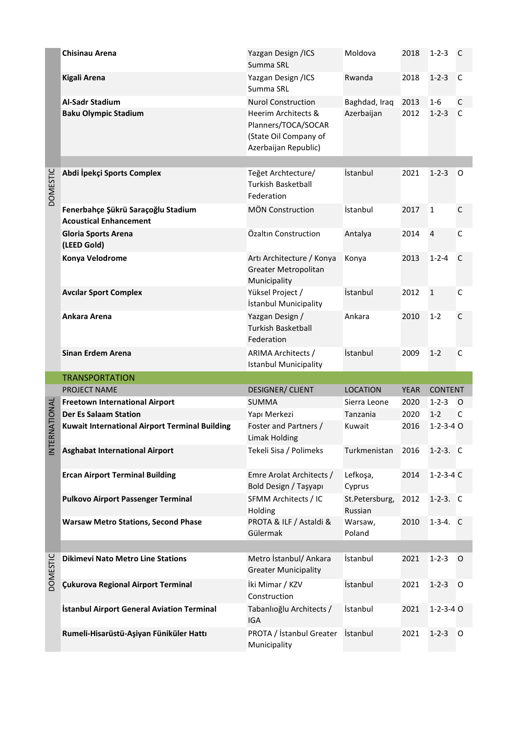|                 | <b>Chisinau Arena</b>                                               | Yazgan Design /ICS<br>Summa SRL                                                             | Moldova                   | 2018        | $1 - 2 - 3$       | C            |
|-----------------|---------------------------------------------------------------------|---------------------------------------------------------------------------------------------|---------------------------|-------------|-------------------|--------------|
|                 | <b>Kigali Arena</b>                                                 | Yazgan Design /ICS<br>Summa SRL                                                             | Rwanda                    | 2018        | $1 - 2 - 3$       | C            |
|                 | <b>Al-Sadr Stadium</b>                                              | <b>Nurol Construction</b>                                                                   | Baghdad, Iraq             | 2013        | 1-6               | C            |
|                 | <b>Baku Olympic Stadium</b>                                         | Heerim Architects &<br>Planners/TOCA/SOCAR<br>(State Oil Company of<br>Azerbaijan Republic) | Azerbaijan                | 2012        | $1 - 2 - 3$       | C            |
|                 |                                                                     |                                                                                             |                           |             |                   |              |
| <b>DOMESTIC</b> | Abdi İpekçi Sports Complex                                          | Teğet Archtecture/<br><b>Turkish Basketball</b><br>Federation                               | İstanbul                  | 2021        | $1 - 2 - 3$       | 0            |
|                 | Fenerbahçe Şükrü Saraçoğlu Stadium<br><b>Acoustical Enhancement</b> | <b>MÖN Construction</b>                                                                     | İstanbul                  | 2017        | $\mathbf{1}$      | $\mathsf{C}$ |
|                 | <b>Gloria Sports Arena</b><br>(LEED Gold)                           | Özaltın Construction                                                                        | Antalya                   | 2014        | $\overline{4}$    | $\mathsf{C}$ |
|                 | Konya Velodrome                                                     | Arti Architecture / Konya<br>Greater Metropolitan<br>Municipality                           | Konya                     | 2013        | $1 - 2 - 4$       | C            |
|                 | <b>Avcilar Sport Complex</b>                                        | Yüksel Project /<br>İstanbul Municipality                                                   | İstanbul                  | 2012        | $\mathbf{1}$      | $\mathsf{C}$ |
|                 | Ankara Arena                                                        | Yazgan Design /<br><b>Turkish Basketball</b><br>Federation                                  | Ankara                    | 2010        | $1-2$             | $\mathsf{C}$ |
|                 | <b>Sinan Erdem Arena</b>                                            | <b>ARIMA Architects /</b><br><b>Istanbul Municipality</b>                                   | İstanbul                  | 2009        | $1 - 2$           | $\mathsf{C}$ |
|                 | <b>TRANSPORTATION</b>                                               |                                                                                             |                           |             |                   |              |
|                 | PROJECT NAME                                                        | <b>DESIGNER/ CLIENT</b>                                                                     | <b>LOCATION</b>           | <b>YEAR</b> | <b>CONTENT</b>    |              |
|                 | <b>Freetown International Airport</b>                               | <b>SUMMA</b>                                                                                | Sierra Leone              | 2020        | $1 - 2 - 3$       | $\circ$      |
|                 | <b>Der Es Salaam Station</b>                                        | Yapı Merkezi                                                                                | Tanzania                  | 2020        | $1 - 2$           | C            |
| INTERNATIONAL   | <b>Kuwait International Airport Terminal Building</b>               | Foster and Partners /<br><b>Limak Holding</b>                                               | Kuwait                    | 2016        | $1 - 2 - 3 - 4$ O |              |
|                 | <b>Asghabat International Airport</b>                               | Tekeli Sisa / Polimeks                                                                      | Turkmenistan              | 2016        | $1-2-3.$ C        |              |
|                 | <b>Ercan Airport Terminal Building</b>                              | Emre Arolat Architects /<br>Bold Design / Taşyapı                                           | Lefkoşa,<br>Cyprus        | 2014        | $1-2-3-4$ C       |              |
|                 | <b>Pulkovo Airport Passenger Terminal</b>                           | SFMM Architects / IC<br>Holding                                                             | St.Petersburg,<br>Russian | 2012        | $1-2-3.$ C        |              |
|                 | <b>Warsaw Metro Stations, Second Phase</b>                          | PROTA & ILF / Astaldi &<br>Gülermak                                                         | Warsaw,<br>Poland         | 2010        | $1-3-4.$ C        |              |
|                 |                                                                     |                                                                                             |                           |             |                   |              |
| <b>DOMESTIC</b> | <b>Dikimevi Nato Metro Line Stations</b>                            | Metro İstanbul/ Ankara<br><b>Greater Municipality</b>                                       | İstanbul                  | 2021        | $1 - 2 - 3$       | O            |
|                 | Çukurova Regional Airport Terminal                                  | İki Mimar / KZV<br>Construction                                                             | İstanbul                  | 2021        | $1 - 2 - 3$       | O            |
|                 | <b>İstanbul Airport General Aviation Terminal</b>                   | Tabanlıoğlu Architects /<br>IGA                                                             | İstanbul                  | 2021        | $1 - 2 - 3 - 4$ O |              |
|                 | Rumeli-Hisarüstü-Aşiyan Füniküler Hattı                             | PROTA / İstanbul Greater<br>Municipality                                                    | İstanbul                  | 2021        | $1 - 2 - 3$       | O            |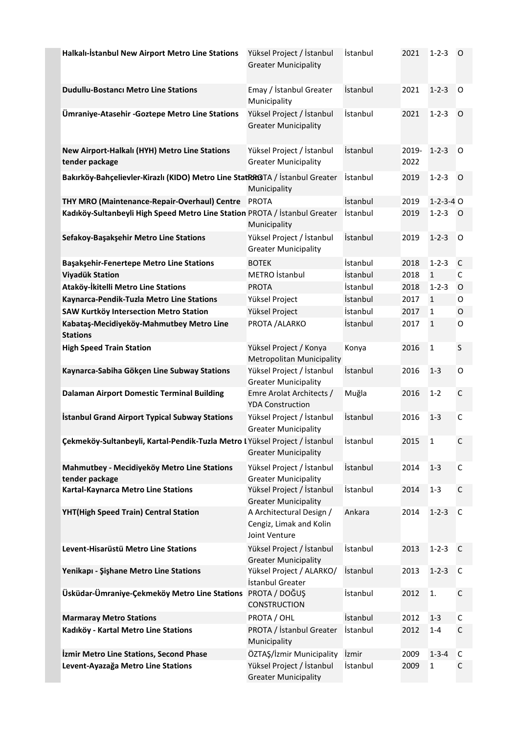| Halkalı-İstanbul New Airport Metro Line Stations                             | Yüksel Project / İstanbul<br><b>Greater Municipality</b>             | İstanbul        | 2021          | $1 - 2 - 3$       | 0            |
|------------------------------------------------------------------------------|----------------------------------------------------------------------|-----------------|---------------|-------------------|--------------|
| <b>Dudullu-Bostanci Metro Line Stations</b>                                  | Emay / İstanbul Greater<br>Municipality                              | İstanbul        | 2021          | $1 - 2 - 3$       | O            |
| Ümraniye-Atasehir - Goztepe Metro Line Stations                              | Yüksel Project / İstanbul<br><b>Greater Municipality</b>             | <i>istanbul</i> | 2021          | $1 - 2 - 3$       | 0            |
| New Airport-Halkalı (HYH) Metro Line Stations<br>tender package              | Yüksel Project / İstanbul<br><b>Greater Municipality</b>             | İstanbul        | 2019-<br>2022 | $1 - 2 - 3$       | 0            |
| Bakırköy-Bahçelievler-Kirazlı (KIDO) Metro Line StatRRGTA / İstanbul Greater | Municipality                                                         | İstanbul        | 2019          | $1 - 2 - 3$       | 0            |
| THY MRO (Maintenance-Repair-Overhaul) Centre                                 | <b>PROTA</b>                                                         | İstanbul        | 2019          | $1 - 2 - 3 - 4$ O |              |
| Kadıköy-Sultanbeyli High Speed Metro Line Station PROTA / İstanbul Greater   | Municipality                                                         | <i>istanbul</i> | 2019          | $1 - 2 - 3$       | O            |
| Sefakoy-Başakşehir Metro Line Stations                                       | Yüksel Project / İstanbul<br><b>Greater Municipality</b>             | İstanbul        | 2019          | $1 - 2 - 3$       | O            |
| <b>Başakşehir-Fenertepe Metro Line Stations</b>                              | <b>BOTEK</b>                                                         | İstanbul        | 2018          | $1 - 2 - 3$       | C            |
| <b>Viyadük Station</b>                                                       | METRO Istanbul                                                       | İstanbul        | 2018          | $\mathbf{1}$      | $\mathsf C$  |
| Ataköy-İkitelli Metro Line Stations                                          | <b>PROTA</b>                                                         | İstanbul        | 2018          | $1 - 2 - 3$       | O            |
| Kaynarca-Pendik-Tuzla Metro Line Stations                                    | Yüksel Project                                                       | İstanbul        | 2017          | $\mathbf{1}$      | 0            |
| SAW Kurtköy Intersection Metro Station                                       | Yüksel Project                                                       | İstanbul        | 2017          | $\mathbf{1}$      | O            |
| Kabataş-Mecidiyeköy-Mahmutbey Metro Line<br><b>Stations</b>                  | PROTA / ALARKO                                                       | İstanbul        | 2017          | $\mathbf{1}$      | 0            |
| <b>High Speed Train Station</b>                                              | Yüksel Project / Konya<br>Metropolitan Municipality                  | Konya           | 2016          | $\mathbf{1}$      | $\sf S$      |
| Kaynarca-Sabiha Gökçen Line Subway Stations                                  | Yüksel Project / İstanbul<br><b>Greater Municipality</b>             | İstanbul        | 2016          | $1 - 3$           | O            |
| <b>Dalaman Airport Domestic Terminal Building</b>                            | Emre Arolat Architects /<br><b>YDA Construction</b>                  | Muğla           | 2016          | $1 - 2$           | $\mathsf{C}$ |
| <b>İstanbul Grand Airport Typical Subway Stations</b>                        | Yüksel Project / İstanbul<br><b>Greater Municipality</b>             | İstanbul        | 2016          | $1 - 3$           | C            |
| Çekmeköy-Sultanbeyli, Kartal-Pendik-Tuzla Metro I Yüksel Project / İstanbul  | <b>Greater Municipality</b>                                          | İstanbul        | 2015          | $\mathbf{1}$      | C            |
| Mahmutbey - Mecidiyeköy Metro Line Stations<br>tender package                | Yüksel Project / İstanbul<br><b>Greater Municipality</b>             | İstanbul        | 2014          | $1 - 3$           | C            |
| Kartal-Kaynarca Metro Line Stations                                          | Yüksel Project / İstanbul<br><b>Greater Municipality</b>             | İstanbul        | 2014          | $1 - 3$           | $\mathsf C$  |
| YHT(High Speed Train) Central Station                                        | A Architectural Design /<br>Cengiz, Limak and Kolin<br>Joint Venture | Ankara          | 2014          | $1 - 2 - 3$       | C            |
| Levent-Hisarüstü Metro Line Stations                                         | Yüksel Project / İstanbul<br><b>Greater Municipality</b>             | İstanbul        | 2013          | $1 - 2 - 3$       | C            |
| Yenikapı - Şişhane Metro Line Stations                                       | Yüksel Project / ALARKO/<br>İstanbul Greater                         | İstanbul        | 2013          | $1 - 2 - 3$       | C            |
| Üsküdar-Ümraniye-Çekmeköy Metro Line Stations                                | PROTA / DOĞUŞ<br><b>CONSTRUCTION</b>                                 | İstanbul        | 2012          | 1.                | $\mathsf C$  |
| <b>Marmaray Metro Stations</b>                                               | PROTA / OHL                                                          | İstanbul        | 2012          | $1 - 3$           | $\mathsf C$  |
| Kadıköy - Kartal Metro Line Stations                                         | PROTA / İstanbul Greater<br>Municipality                             | İstanbul        | 2012          | $1 - 4$           | $\mathsf{C}$ |
| <b>izmir Metro Line Stations, Second Phase</b>                               | ÖZTAŞ/İzmir Municipality                                             | İzmir           | 2009          | $1 - 3 - 4$       | C            |
| Levent-Ayazağa Metro Line Stations                                           | Yüksel Project / İstanbul<br><b>Greater Municipality</b>             | İstanbul        | 2009          | 1                 | C            |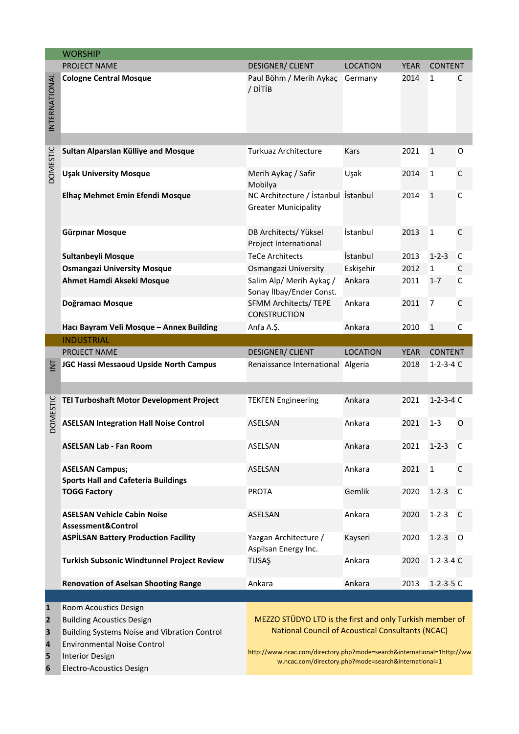|                                                  | <b>WORSHIP</b>                                                                                                                                                                                        |                                                                    |                                                                                                                                                                                                                                                        |             |                   |             |  |  |  |
|--------------------------------------------------|-------------------------------------------------------------------------------------------------------------------------------------------------------------------------------------------------------|--------------------------------------------------------------------|--------------------------------------------------------------------------------------------------------------------------------------------------------------------------------------------------------------------------------------------------------|-------------|-------------------|-------------|--|--|--|
|                                                  | PROJECT NAME                                                                                                                                                                                          | <b>DESIGNER/ CLIENT</b>                                            | <b>YEAR</b><br>LOCATION<br><b>CONTENT</b>                                                                                                                                                                                                              |             |                   |             |  |  |  |
| INTERNATIONAL                                    | <b>Cologne Central Mosque</b>                                                                                                                                                                         | Paul Böhm / Merih Aykaç<br>/ DITIB                                 | Germany                                                                                                                                                                                                                                                | 2014        | 1                 | C           |  |  |  |
|                                                  |                                                                                                                                                                                                       |                                                                    |                                                                                                                                                                                                                                                        |             |                   |             |  |  |  |
| <b>DOMESTIC</b>                                  | Sultan Alparslan Külliye and Mosque                                                                                                                                                                   | <b>Turkuaz Architecture</b>                                        | Kars                                                                                                                                                                                                                                                   | 2021        | $\mathbf{1}$      | O           |  |  |  |
|                                                  | <b>Uşak University Mosque</b>                                                                                                                                                                         | Merih Aykaç / Safir<br>Mobilya                                     | Uşak                                                                                                                                                                                                                                                   | 2014        | $\mathbf{1}$      | C           |  |  |  |
|                                                  | Elhaç Mehmet Emin Efendi Mosque                                                                                                                                                                       | NC Architecture / İstanbul İstanbul<br><b>Greater Municipality</b> |                                                                                                                                                                                                                                                        | 2014        | $\mathbf{1}$      | С           |  |  |  |
|                                                  | Gürpınar Mosque                                                                                                                                                                                       | DB Architects/ Yüksel<br>Project International                     | İstanbul                                                                                                                                                                                                                                               | 2013        | $\mathbf 1$       | $\mathsf C$ |  |  |  |
|                                                  | Sultanbeyli Mosque                                                                                                                                                                                    | <b>TeCe Architects</b>                                             | İstanbul                                                                                                                                                                                                                                               | 2013        | $1 - 2 - 3$       | С           |  |  |  |
|                                                  | <b>Osmangazi University Mosque</b>                                                                                                                                                                    | Osmangazi University                                               | Eskişehir                                                                                                                                                                                                                                              | 2012        | $\mathbf{1}$      | С           |  |  |  |
|                                                  | Ahmet Hamdi Akseki Mosque                                                                                                                                                                             | Salim Alp/ Merih Aykaç /<br>Sonay İlbay/Ender Const.               | Ankara                                                                                                                                                                                                                                                 | 2011        | $1 - 7$           | С           |  |  |  |
|                                                  | Doğramacı Mosque                                                                                                                                                                                      | SFMM Architects/ TEPE<br><b>CONSTRUCTION</b>                       | Ankara                                                                                                                                                                                                                                                 | 2011        | 7                 | C           |  |  |  |
|                                                  | Hacı Bayram Veli Mosque - Annex Building                                                                                                                                                              | Anfa A.Ş.                                                          | Ankara                                                                                                                                                                                                                                                 | 2010        | $\mathbf{1}$      | С           |  |  |  |
|                                                  | <b>INDUSTRIAL</b>                                                                                                                                                                                     |                                                                    |                                                                                                                                                                                                                                                        |             |                   |             |  |  |  |
|                                                  | PROJECT NAME                                                                                                                                                                                          | <b>DESIGNER/ CLIENT</b>                                            | <b>LOCATION</b>                                                                                                                                                                                                                                        | <b>YEAR</b> | <b>CONTENT</b>    |             |  |  |  |
| $\overline{\ge}$                                 | <b>JGC Hassi Messaoud Upside North Campus</b>                                                                                                                                                         | Renaissance International Algeria                                  |                                                                                                                                                                                                                                                        | 2018        | $1 - 2 - 3 - 4$ C |             |  |  |  |
| <b>DOMESTIC</b>                                  | TEI Turboshaft Motor Development Project                                                                                                                                                              | <b>TEKFEN Engineering</b>                                          | Ankara                                                                                                                                                                                                                                                 | 2021        | $1 - 2 - 3 - 4$ C |             |  |  |  |
|                                                  | <b>ASELSAN Integration Hall Noise Control</b>                                                                                                                                                         | ASELSAN                                                            | Ankara                                                                                                                                                                                                                                                 | 2021        | $1 - 3$           | O           |  |  |  |
|                                                  | <b>ASELSAN Lab - Fan Room</b>                                                                                                                                                                         | ASELSAN                                                            | Ankara                                                                                                                                                                                                                                                 | 2021        | $1 - 2 - 3$       | -C          |  |  |  |
|                                                  | <b>ASELSAN Campus;</b><br><b>Sports Hall and Cafeteria Buildings</b>                                                                                                                                  | ASELSAN                                                            | Ankara                                                                                                                                                                                                                                                 | 2021        | $\mathbf 1$       | $\mathsf C$ |  |  |  |
|                                                  | <b>TOGG Factory</b>                                                                                                                                                                                   | <b>PROTA</b>                                                       | Gemlik                                                                                                                                                                                                                                                 | 2020        | $1 - 2 - 3$       | C           |  |  |  |
|                                                  | <b>ASELSAN Vehicle Cabin Noise</b><br>Assessment&Control                                                                                                                                              | ASELSAN                                                            | Ankara                                                                                                                                                                                                                                                 | 2020        | $1 - 2 - 3$       | C           |  |  |  |
|                                                  | <b>ASPİLSAN Battery Production Facility</b>                                                                                                                                                           | Yazgan Architecture /<br>Aspilsan Energy Inc.                      | Kayseri                                                                                                                                                                                                                                                | 2020        | $1 - 2 - 3$       | $\circ$     |  |  |  |
|                                                  | Turkish Subsonic Windtunnel Project Review                                                                                                                                                            | <b>TUSAŞ</b>                                                       | Ankara                                                                                                                                                                                                                                                 | 2020        | $1-2-3-4$ C       |             |  |  |  |
|                                                  | <b>Renovation of Aselsan Shooting Range</b>                                                                                                                                                           | Ankara                                                             | Ankara                                                                                                                                                                                                                                                 | 2013        | $1 - 2 - 3 - 5$ C |             |  |  |  |
| $\mathbf{1}$<br>$\mathbf{2}$<br>3<br>4<br>5<br>6 | Room Acoustics Design<br><b>Building Acoustics Design</b><br>Building Systems Noise and Vibration Control<br><b>Environmental Noise Control</b><br><b>Interior Design</b><br>Electro-Acoustics Design |                                                                    | MEZZO STÜDYO LTD is the first and only Turkish member of<br><b>National Council of Acoustical Consultants (NCAC)</b><br>http://www.ncac.com/directory.php?mode=search&international=1http://ww<br>w.ncac.com/directory.php?mode=search&international=1 |             |                   |             |  |  |  |